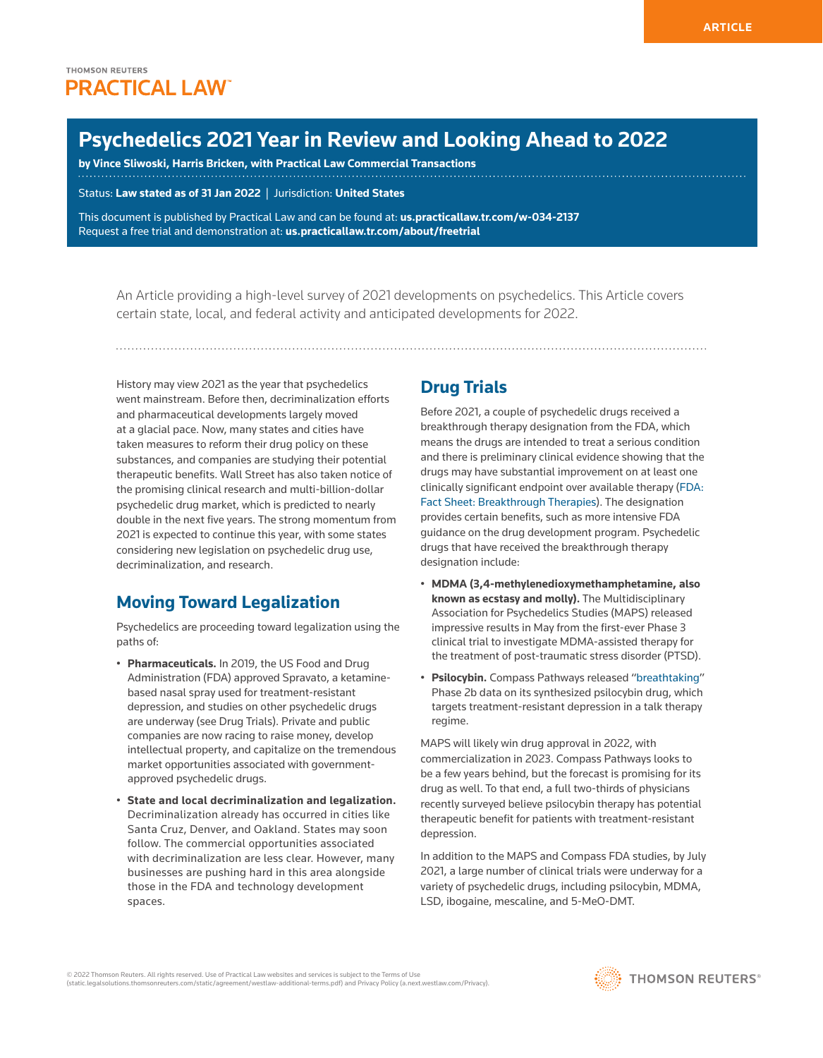# **Psychedelics 2021 Year in Review and Looking Ahead to 2022**

**by [Vince Sliwoski](https://harrisbricken.com/our-team/vincent-sliwoski/), Harris Bricken, with Practical Law Commercial Transactions**

Status: **Law stated as of 31 Jan 2022** | Jurisdiction: **United States**

This document is published by Practical Law and can be found at[:](http://us.practicallaw.tr.com/W-028-4180) **[us.practicallaw.tr.com/w-034-2137](http://us.practicallaw.tr.com/w-034-2137)** Request a free trial and demonstration at: **[us.practicallaw.tr.com/about/freetrial](http://us.practicallaw.tr.com/about/freetrial)**

An Article providing a high-level survey of 2021 developments on psychedelics. This Article covers certain state, local, and federal activity and anticipated developments for 2022.

History may view 2021 as the year that psychedelics went mainstream. Before then, decriminalization efforts and pharmaceutical developments largely moved at a glacial pace. Now, many states and cities have taken measures to reform their drug policy on these substances, and companies are studying their potential therapeutic benefits. Wall Street has also taken notice of the promising clinical research and multi-billion-dollar psychedelic drug market, which is predicted to nearly double in the next five years. The strong momentum from 2021 is expected to continue this year, with some states considering new legislation on psychedelic drug use, decriminalization, and research.

## **Moving Toward Legalization**

Psychedelics are proceeding toward legalization using the paths of:

- **Pharmaceuticals.** In 2019, the US [Food and Drug](http://www.westlaw.com/Document/I0f9fea49ef0811e28578f7ccc38dcbee/View/FullText.html?originationContext=document&vr=3.0&rs=cblt1.0&transitionType=DocumentItem&contextData=(sc.Default))  [Administration](http://www.westlaw.com/Document/I0f9fea49ef0811e28578f7ccc38dcbee/View/FullText.html?originationContext=document&vr=3.0&rs=cblt1.0&transitionType=DocumentItem&contextData=(sc.Default)) (FDA) approved Spravato, a ketaminebased nasal spray used for treatment-resistant depression, and studies on other psychedelic drugs are underway (see Drug Trials). Private and public companies are now racing to raise money, develop intellectual property, and capitalize on the tremendous market opportunities associated with governmentapproved psychedelic drugs.
- **State and local decriminalization and legalization.** Decriminalization already has occurred in cities like Santa Cruz, Denver, and Oakland. States may soon follow. The commercial opportunities associated with decriminalization are less clear. However, many businesses are pushing hard in this area alongside those in the FDA and technology development spaces.

## **Drug Trials**

Before 2021, a couple of psychedelic drugs received a breakthrough therapy designation from the FDA, which means the drugs are intended to treat a serious condition and there is preliminary clinical evidence showing that the drugs may have substantial improvement on at least one clinically significant endpoint over available therapy ([FDA:](https://www.fda.gov/regulatory-information/food-and-drug-administration-safety-and-innovation-act-fdasia/fact-sheet-breakthrough-therapies)  [Fact Sheet: Breakthrough Therapies\)](https://www.fda.gov/regulatory-information/food-and-drug-administration-safety-and-innovation-act-fdasia/fact-sheet-breakthrough-therapies). The designation provides certain benefits, such as more intensive FDA guidance on the drug development program. Psychedelic drugs that have received the breakthrough therapy designation include:

- **MDMA (3,4-methylenedioxymethamphetamine, also known as ecstasy and molly).** The Multidisciplinary Association for Psychedelics Studies (MAPS) released impressive results in May from the first-ever Phase 3 clinical trial to investigate MDMA-assisted therapy for the treatment of post-traumatic stress disorder (PTSD).
- **Psilocybin.** Compass Pathways released "[breathtaking](https://www.cnbc.com/video/2021/11/09/compass-pathways-ceo-on-mushroom-based-therapy-for-depression-the-data-was-breathtaking.html#:~:text=Closing%20Bell%20Compass%20Pathways%20CEO%20on%20mushroom-based%20therapy,positive%20data%20on%20its%20therapeutic%20treatment%20for%20depression)" Phase 2b data on its synthesized psilocybin drug, which targets treatment-resistant depression in a talk therapy regime.

MAPS will likely win drug approval in 2022, with commercialization in 2023. Compass Pathways looks to be a few years behind, but the forecast is promising for its drug as well. To that end, a full two-thirds of physicians recently surveyed believe psilocybin therapy has potential therapeutic benefit for patients with treatment-resistant depression.

In addition to the MAPS and Compass FDA studies, by July 2021, a large number of clinical trials were underway for a variety of psychedelic drugs, including psilocybin, MDMA, LSD, ibogaine, mescaline, and 5-MeO-DMT.

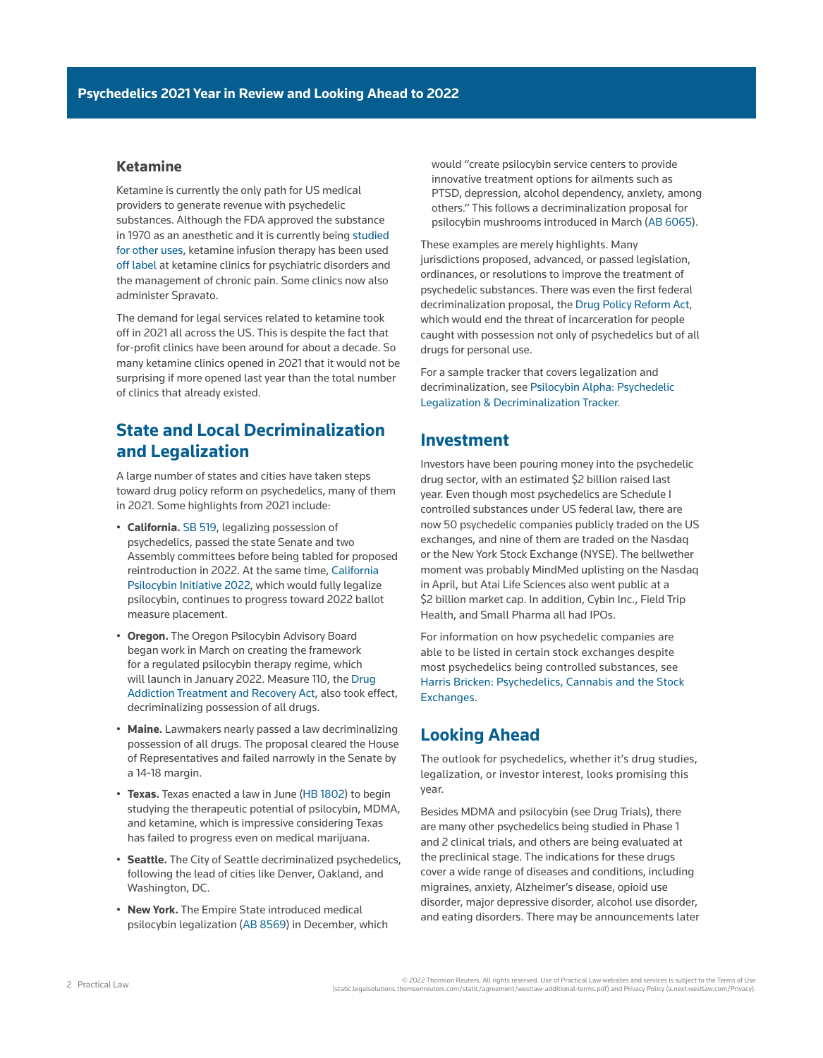#### **Ketamine**

Ketamine is currently the only path for US medical providers to generate revenue with psychedelic substances. Although the FDA approved the substance in 1970 as an anesthetic and it is currently being [studied](https://clinicaltrials.gov/ct2/show/NCT04912115)  [for other uses,](https://clinicaltrials.gov/ct2/show/NCT04912115) ketamine infusion therapy has been used [off label](https://www.fda.gov/patients/learn-about-expanded-access-and-other-treatment-options/understanding-unapproved-use-approved-drugs-label) at ketamine clinics for psychiatric disorders and the management of chronic pain. Some clinics now also administer Spravato.

The demand for legal services related to ketamine took off in 2021 all across the US. This is despite the fact that for-profit clinics have been around for about a decade. So many ketamine clinics opened in 2021 that it would not be surprising if more opened last year than the total number of clinics that already existed.

## **State and Local Decriminalization and Legalization**

A large number of states and cities have taken steps toward drug policy reform on psychedelics, many of them in 2021. Some highlights from 2021 include:

- **California.** [SB 519,](https://leginfo.legislature.ca.gov/faces/billNavClient.xhtml?bill_id=202120220SB519) legalizing possession of psychedelics, passed the state Senate and two Assembly committees before being tabled for proposed reintroduction in 2022. At the same time, [California](https://oag.ca.gov/system/files/initiatives/pdfs/21-0005%20%28Psilocybin%29.pdf)  [Psilocybin Initiative 2022](https://oag.ca.gov/system/files/initiatives/pdfs/21-0005%20%28Psilocybin%29.pdf), which would fully legalize psilocybin, continues to progress toward 2022 ballot measure placement.
- **Oregon.** The Oregon Psilocybin Advisory Board began work in March on creating the framework for a regulated psilocybin therapy regime, which will launch in January 2022. Measure 110, the [Drug](https://www.oregon.gov/oha/hsd/amh/pages/measure110.aspx)  [Addiction Treatment and Recovery Act,](https://www.oregon.gov/oha/hsd/amh/pages/measure110.aspx) also took effect, decriminalizing possession of all drugs.
- **Maine.** Lawmakers nearly passed a law decriminalizing possession of all drugs. The proposal cleared the House of Representatives and failed narrowly in the Senate by a 14-18 margin.
- **Texas.** Texas enacted a law in June ([HB 1802](https://legiscan.com/TX/text/HB1802/id/2284765)) to begin studying the therapeutic potential of psilocybin, MDMA, and ketamine, which is impressive considering Texas has failed to progress even on medical marijuana.
- **Seattle.** The City of Seattle decriminalized psychedelics, following the lead of cities like Denver, Oakland, and Washington, DC.
- **New York.** The Empire State introduced medical psilocybin legalization ([AB 8569\)](https://legiscan.com/NY/bill/A08569/2021) in December, which

would "create psilocybin service centers to provide innovative treatment options for ailments such as PTSD, depression, alcohol dependency, anxiety, among others." This follows a decriminalization proposal for psilocybin mushrooms introduced in March ([AB 6065](https://legiscan.com/NY/bill/A06065/2021)).

These examples are merely highlights. Many jurisdictions proposed, advanced, or passed legislation, ordinances, or resolutions to improve the treatment of psychedelic substances. There was even the first federal decriminalization proposal, the [Drug Policy Reform Act](https://www.congress.gov/bill/117th-congress/house-bill/4020/actions?r=67&s=1), which would end the threat of incarceration for people caught with possession not only of psychedelics but of all drugs for personal use.

For a sample tracker that covers legalization and decriminalization, see [Psilocybin Alpha: Psychedelic](https://psilocybinalpha.com/data/psychedelic-laws)  [Legalization & Decriminalization Tracker](https://psilocybinalpha.com/data/psychedelic-laws).

### **Investment**

Investors have been pouring money into the psychedelic drug sector, with an estimated \$2 billion raised last year. Even though most psychedelics are Schedule I controlled substances under US federal law, there are now 50 psychedelic companies publicly traded on the US exchanges, and nine of them are traded on the Nasdaq or the New York Stock Exchange (NYSE). The bellwether moment was probably MindMed uplisting on the Nasdaq in April, but Atai Life Sciences also went public at a \$2 billion market cap. In addition, Cybin Inc., Field Trip Health, and Small Pharma all had IPOs.

For information on how psychedelic companies are able to be listed in certain stock exchanges despite most psychedelics being controlled substances, see [Harris Bricken: Psychedelics, Cannabis and the Stock](https://harrisbricken.com/psychlawblog/psychedelics-cannabis-and-the-stock-exchanges/)  [Exchanges.](https://harrisbricken.com/psychlawblog/psychedelics-cannabis-and-the-stock-exchanges/)

#### **Looking Ahead**

The outlook for psychedelics, whether it's drug studies, legalization, or investor interest, looks promising this year.

Besides MDMA and psilocybin (see Drug Trials), there are many other psychedelics being studied in Phase 1 and 2 clinical trials, and others are being evaluated at the preclinical stage. The indications for these drugs cover a wide range of diseases and conditions, including migraines, anxiety, Alzheimer's disease, opioid use disorder, major depressive disorder, alcohol use disorder, and eating disorders. There may be announcements later